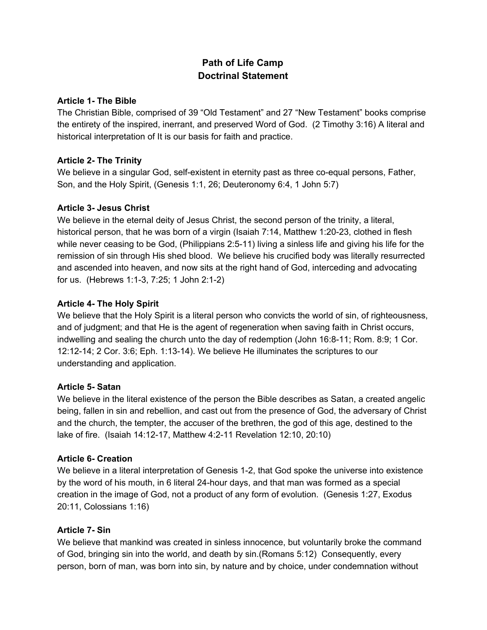# **Path of Life Camp Doctrinal Statement**

## **Article 1- The Bible**

The Christian Bible, comprised of 39 "Old Testament" and 27 "New Testament" books comprise the entirety of the inspired, inerrant, and preserved Word of God. (2 Timothy 3:16) A literal and historical interpretation of It is our basis for faith and practice.

## **Article 2- The Trinity**

We believe in a singular God, self-existent in eternity past as three co-equal persons, Father, Son, and the Holy Spirit, (Genesis 1:1, 26; Deuteronomy 6:4, 1 John 5:7)

## **Article 3- Jesus Christ**

We believe in the eternal deity of Jesus Christ, the second person of the trinity, a literal, historical person, that he was born of a virgin (Isaiah 7:14, Matthew 1:20-23, clothed in flesh while never ceasing to be God, (Philippians 2:5-11) living a sinless life and giving his life for the remission of sin through His shed blood. We believe his crucified body was literally resurrected and ascended into heaven, and now sits at the right hand of God, interceding and advocating for us. (Hebrews 1:1-3, 7:25; 1 John 2:1-2)

## **Article 4- The Holy Spirit**

We believe that the Holy Spirit is a literal person who convicts the world of sin, of righteousness, and of judgment; and that He is the agent of regeneration when saving faith in Christ occurs, indwelling and sealing the church unto the day of redemption (John 16:8-11; Rom. 8:9; 1 Cor. 12:12-14; 2 Cor. 3:6; Eph. 1:13-14). We believe He illuminates the scriptures to our understanding and application.

## **Article 5- Satan**

We believe in the literal existence of the person the Bible describes as Satan, a created angelic being, fallen in sin and rebellion, and cast out from the presence of God, the adversary of Christ and the church, the tempter, the accuser of the brethren, the god of this age, destined to the lake of fire. (Isaiah 14:12-17, Matthew 4:2-11 Revelation 12:10, 20:10)

## **Article 6- Creation**

We believe in a literal interpretation of Genesis 1-2, that God spoke the universe into existence by the word of his mouth, in 6 literal 24-hour days, and that man was formed as a special creation in the image of God, not a product of any form of evolution. (Genesis 1:27, Exodus 20:11, Colossians 1:16)

## **Article 7- Sin**

We believe that mankind was created in sinless innocence, but voluntarily broke the command of God, bringing sin into the world, and death by sin.(Romans 5:12) Consequently, every person, born of man, was born into sin, by nature and by choice, under condemnation without